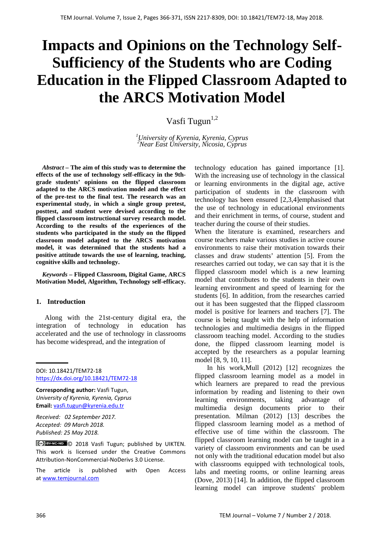# **Impacts and Opinions on the Technology Self-Sufficiency of the Students who are Coding Education in the Flipped Classroom Adapted to the ARCS Motivation Model**

Vasfi Tugun<sup>1,2</sup>

*1 University of Kyrenia, Kyrenia, Cyprus <sup>2</sup> Near East University, Nicosia, Cyprus*

*Abstract –* **The aim of this study was to determine the effects of the use of technology self-efficacy in the 9thgrade students' opinions on the flipped classroom adapted to the ARCS motivation model and the effect of the pre-test to the final test. The research was an experimental study, in which a single group pretest, posttest, and student were devised according to the flipped classroom instructional survey research model. According to the results of the experiences of the students who participated in the study on the flipped classroom model adapted to the ARCS motivation model, it was determined that the students had a positive attitude towards the use of learning, teaching, cognitive skills and technology.**

*Keywords –* **Flipped Classroom, Digital Game, ARCS Motivation Model, Algorithm, Technology self-efficacy.**

#### **1. Introduction**

 Along with the 21st-century digital era, the integration of technology in education has accelerated and the use of technology in classrooms has become widespread, and the integration of

DOI: 10.18421/TEM72-18 <https://dx.doi.org/10.18421/TEM72-18>

**Corresponding author:** Vasfi Tugun, *University of Kyrenia, Kyrenia, Cyprus* **Email:** vasfi.tugun@kyrenia.edu.tr

*Received: 02 September 2017. Accepted: 09 March 2018. Published: 25 May 2018.*

© 2018 Vasfi Tugun; published by UIKTEN. This work is licensed under the Creative Commons Attribution-NonCommercial-NoDerivs 3.0 License.

The article is published with Open Access a[t www.temjournal.com](http://www.temjournal.com/)

technology education has gained importance [1]. With the increasing use of technology in the classical or learning environments in the digital age, active participation of students in the classroom with technology has been ensured [2,3,4]emphasised that the use of technology in educational environments and their enrichment in terms, of course, student and teacher during the course of their studies.

When the literature is examined, researchers and course teachers make various studies in active course environments to raise their motivation towards their classes and draw students' attention [5]. From the researches carried out today, we can say that it is the flipped classroom model which is a new learning model that contributes to the students in their own learning environment and speed of learning for the students [6]. In addition, from the researches carried out it has been suggested that the flipped classroom model is positive for learners and teachers [7]. The course is being taught with the help of information technologies and multimedia designs in the flipped classroom teaching model. According to the studies done, the flipped classroom learning model is accepted by the researchers as a popular learning model [8, 9, 10, 11].

 In his work,Mull (2012) [12] recognizes the flipped classroom learning model as a model in which learners are prepared to read the previous information by reading and listening to their own learning environments, taking advantage of multimedia design documents prior to their presentation. Milman (2012) [13] describes the flipped classroom learning model as a method of effective use of time within the classroom. The flipped classroom learning model can be taught in a variety of classroom environments and can be used not only with the traditional education model but also with classrooms equipped with technological tools, labs and meeting rooms, or online learning areas (Dove, 2013) [14]. In addition, the flipped classroom learning model can improve students' problem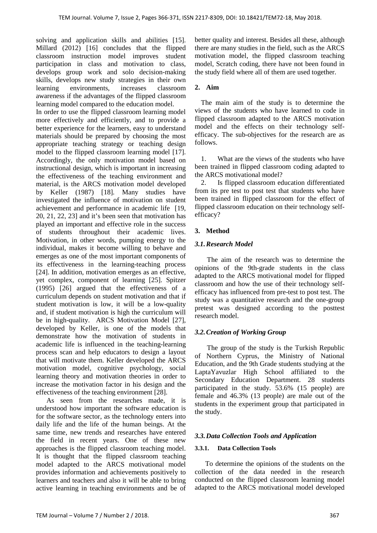solving and application skills and abilities [15]. Millard (2012) [16] concludes that the flipped classroom instruction model improves student participation in class and motivation to class, develops group work and solo decision-making skills, develops new study strategies in their own learning environments, increases classroom awareness if the advantages of the flipped classroom learning model compared to the education model.

In order to use the flipped classroom learning model more effectively and efficiently, and to provide a better experience for the learners, easy to understand materials should be prepared by choosing the most appropriate teaching strategy or teaching design model to the flipped classroom learning model [17]. Accordingly, the only motivation model based on instructional design, which is important in increasing the effectiveness of the teaching environment and material, is the ARCS motivation model developed by Keller (1987) [18]. Many studies have investigated the influence of motivation on student achievement and performance in academic life [19, 20, 21, 22, 23] and it's been seen that motivation has played an important and effective role in the success of students throughout their academic lives. Motivation, in other words, pumping energy to the individual, makes it become willing to behave and emerges as one of the most important components of its effectiveness in the learning-teaching process [24]. In addition, motivation emerges as an effective, yet complex, component of learning [25]. Spitzer (1995) [26] argued that the effectiveness of a curriculum depends on student motivation and that if student motivation is low, it will be a low-quality and, if student motivation is high the curriculum will be in high-quality. ARCS Motivation Model [27], developed by Keller, is one of the models that demonstrate how the motivation of students in academic life is influenced in the teaching-learning process scan and help educators to design a layout that will motivate them. Keller developed the ARCS motivation model, cognitive psychology, social learning theory and motivation theories in order to increase the motivation factor in his design and the effectiveness of the teaching environment [28].

 As seen from the researches made, it is understood how important the software education is for the software sector, as the technology enters into daily life and the life of the human beings. At the same time, new trends and researches have entered the field in recent years. One of these new approaches is the flipped classroom teaching model. It is thought that the flipped classroom teaching model adapted to the ARCS motivational model provides information and achievements positively to learners and teachers and also it will be able to bring active learning in teaching environments and be of better quality and interest. Besides all these, although there are many studies in the field, such as the ARCS motivation model, the flipped classroom teaching model, Scratch coding, there have not been found in the study field where all of them are used together.

#### **2. Aim**

The main aim of the study is to determine the views of the students who have learned to code in flipped classroom adapted to the ARCS motivation model and the effects on their technology selfefficacy. The sub-objectives for the research are as follows.

1. What are the views of the students who have been trained in flipped classroom coding adapted to the ARCS motivational model?

2. Is flipped classroom education differentiated from its pre test to post test that students who have been trained in flipped classroom for the effect of flipped classroom education on their technology selfefficacy?

#### **3. Method**

#### *3.1.Research Model*

 The aim of the research was to determine the opinions of the 9th-grade students in the class adapted to the ARCS motivational model for flipped classroom and how the use of their technology selfefficacy has influenced from pre-test to post test. The study was a quantitative research and the one-group pretest was designed according to the posttest research model.

#### *3.2.Creation of Working Group*

 The group of the study is the Turkish Republic of Northern Cyprus, the Ministry of National Education, and the 9th Grade students studying at the LaptaYavuzlar High School affiliated to the Secondary Education Department. 28 students participated in the study. 53.6% (15 people) are female and 46.3% (13 people) are male out of the students in the experiment group that participated in the study.

#### *3.3.Data Collection Tools and Application*

#### **3.3.1. Data Collection Tools**

 To determine the opinions of the students on the collection of the data needed in the research conducted on the flipped classroom learning model adapted to the ARCS motivational model developed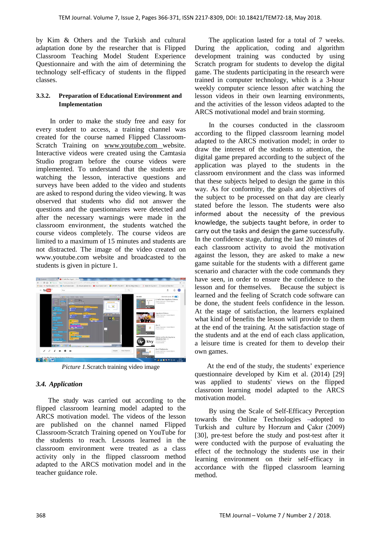by Kim & Others and the Turkish and cultural adaptation done by the researcher that is Flipped Classroom Teaching Model Student Experience Questionnaire and with the aim of determining the technology self-efficacy of students in the flipped classes.

#### **3.3.2. Preparation of Educational Environment and Implementation**

 In order to make the study free and easy for every student to access, a training channel was created for the course named Flipped Classroom-Scratch Training on [www.youtube.com](http://www.youtube.com/) website. Interactive videos were created using the Camtasia Studio program before the course videos were implemented. To understand that the students are watching the lesson, interactive questions and surveys have been added to the video and students are asked to respond during the video viewing. It was observed that students who did not answer the questions and the questionnaires were detected and after the necessary warnings were made in the classroom environment, the students watched the course videos completely. The course videos are limited to a maximum of 15 minutes and students are not distracted. The image of the video created on www.youtube.com website and broadcasted to the students is given in picture 1.



*Picture 1.*Scratch training video image

## *3.4. Application*

 The study was carried out according to the flipped classroom learning model adapted to the ARCS motivation model. The videos of the lesson are published on the channel named Flipped Classroom-Scratch Training opened on YouTube for the students to reach. Lessons learned in the classroom environment were treated as a class activity only in the flipped classroom method adapted to the ARCS motivation model and in the teacher guidance role.

 The application lasted for a total of 7 weeks. During the application, coding and algorithm development training was conducted by using Scratch program for students to develop the digital game. The students participating in the research were trained in computer technology, which is a 3-hour weekly computer science lesson after watching the lesson videos in their own learning environments, and the activities of the lesson videos adapted to the ARCS motivational model and brain storming.

 In the courses conducted in the classroom according to the flipped classroom learning model adapted to the ARCS motivation model; in order to draw the interest of the students to attention, the digital game prepared according to the subject of the application was played to the students in the classroom environment and the class was informed that these subjects helped to design the game in this way. As for conformity, the goals and objectives of the subject to be processed on that day are clearly stated before the lesson. The students were also informed about the necessity of the previous knowledge, the subjects taught before, in order to carry out the tasks and design the game successfully. In the confidence stage, during the last 20 minutes of each classroom activity to avoid the motivation against the lesson, they are asked to make a new game suitable for the students with a different game scenario and character with the code commands they have seen, in order to ensure the confidence to the lesson and for themselves. Because the subject is learned and the feeling of Scratch code software can be done, the student feels confidence in the lesson. At the stage of satisfaction, the learners explained what kind of benefits the lesson will provide to them at the end of the training. At the satisfaction stage of the students and at the end of each class application, a leisure time is created for them to develop their own games.

 At the end of the study, the students' experience questionnaire developed by Kim et al. (2014) [29] was applied to students' views on the flipped classroom learning model adapted to the ARCS motivation model.

 By using the Scale of Self-Efficacy Perception towards the Online Technologies –adopted to Turkish and culture by Horzum and Çakır (2009) [30], pre-test before the study and post-test after it were conducted with the purpose of evaluating the effect of the technology the students use in their learning environment on their self-efficacy in accordance with the flipped classroom learning method.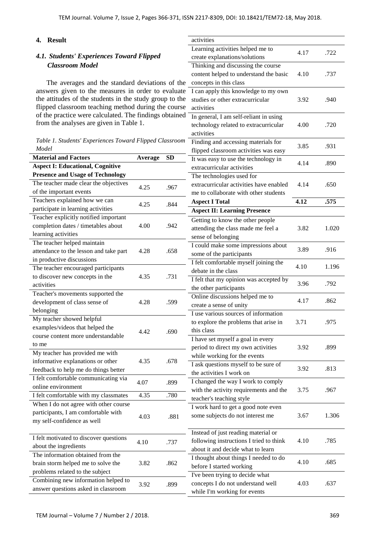#### **4. Result**

# *4.1. Students' Experiences Toward Flipped Classroom Model*

The averages and the standard deviations of answers given to the measures in order to eval the attitudes of the students in the study group to flipped classroom teaching method during the co of the practice were calculated. The findings obtained from the analyses are given in Table 1.

| Table 1. Students' Experiences Toward Flipped Classroom |  |  |
|---------------------------------------------------------|--|--|
| Model                                                   |  |  |

| <b>Material and Factors</b>                                                      | Average | <b>SD</b> | ппррса стазмобит аси в                             |
|----------------------------------------------------------------------------------|---------|-----------|----------------------------------------------------|
| <b>Aspect I: Educational, Cognitive</b>                                          |         |           | It was easy to use the to                          |
|                                                                                  |         |           | extracurricular activitie                          |
| <b>Presence and Usage of Technology</b><br>The teacher made clear the objectives | 4.25    | .967      | The technologies used<br>extracurricular activitie |
| of the important events                                                          |         |           | me to collaborate with                             |
| Teachers explained how we can                                                    | 4.25    | .844      | <b>Aspect I Total</b>                              |
| participate in learning activities                                               |         |           | <b>Aspect II: Learning P</b>                       |
| Teacher explicitly notified important                                            |         |           | Getting to know the otl                            |
| completion dates / timetables about                                              | 4.00    | .942      | attending the class mad                            |
| learning activities                                                              |         |           | sense of belonging                                 |
| The teacher helped maintain                                                      |         |           | I could make some imp                              |
| attendance to the lesson and take part                                           | 4.28    | .658      | some of the participant                            |
| in productive discussions                                                        |         |           | I felt comfortable myse                            |
| The teacher encouraged participants                                              |         |           | debate in the class                                |
| to discover new concepts in the                                                  | 4.35    | .731      | I felt that my opinion w                           |
| activities                                                                       |         |           | the other participants                             |
| Teacher's movements supported the                                                |         |           | Online discussions help                            |
| development of class sense of                                                    | 4.28    | .599      | create a sense of unity                            |
| belonging                                                                        |         |           | I use various sources of                           |
| My teacher showed helpful                                                        |         |           | to explore the problems                            |
| examples/videos that helped the                                                  | 4.42    | .690      | this class                                         |
| course content more understandable                                               |         |           | I have set myself a goa                            |
| to me                                                                            |         |           | period to direct my ow!                            |
| My teacher has provided me with                                                  |         |           | while working for the e                            |
| informative explanations or other                                                | 4.35    | .678      | I ask questions myself                             |
| feedback to help me do things better                                             |         |           | the activities I work on                           |
| I felt comfortable communicating via                                             |         |           | I changed the way I wo                             |
| online environment                                                               | 4.07    | .899      | with the activity requir                           |
| I felt comfortable with my classmates                                            | 4.35    | .780      | teacher's teaching style                           |
| When I do not agree with other course                                            |         |           | I work hard to get a go                            |
| participants, I am comfortable with                                              |         |           | some subjects do not in                            |
| my self-confidence as well                                                       | 4.03    | .881      |                                                    |
|                                                                                  |         |           | Instead of just reading                            |
| I felt motivated to discover questions                                           |         |           | following instructions I                           |
| about the ingredients                                                            | 4.10    | .737      | about it and decide wha                            |
| The information obtained from the                                                |         |           | I thought about things I                           |
| brain storm helped me to solve the                                               | 3.82    | .862      | before I started workin                            |
| problems related to the subject                                                  |         |           | I've been trying to deci                           |
| Combining new information helped to                                              |         |           | concepts I do not under                            |
| answer questions asked in classroom                                              | 3.92    | .899      | while I'm working for                              |
|                                                                                  |         |           |                                                    |

|              | activities                              |      |       |  |
|--------------|-----------------------------------------|------|-------|--|
|              | Learning activities helped me to        |      |       |  |
|              | create explanations/solutions           | 4.17 | .722  |  |
|              | Thinking and discussing the course      |      |       |  |
|              | content helped to understand the basic  | 4.10 | .737  |  |
| f the        | concepts in this class                  |      |       |  |
| luate        | I can apply this knowledge to my own    |      |       |  |
| o the        | studies or other extracurricular        | 3.92 | .940  |  |
| ourse        | activities                              |      |       |  |
| ained        | In general, I am self-reliant in using  |      |       |  |
|              |                                         |      |       |  |
|              | technology related to extracurricular   | 4.00 | .720  |  |
|              | activities                              |      |       |  |
| room         | Finding and accessing materials for     | 3.85 | .931  |  |
|              | flipped classroom activities was easy   |      |       |  |
| $\mathbf{z}$ | It was easy to use the technology in    | 4.14 | .890  |  |
|              | extracurricular activities              |      |       |  |
|              | The technologies used for               |      |       |  |
| 67           | extracurricular activities have enabled | 4.14 | .650  |  |
|              | me to collaborate with other students   |      |       |  |
| 44           | <b>Aspect I Total</b>                   | 4.12 | .575  |  |
|              | <b>Aspect II: Learning Presence</b>     |      |       |  |
|              | Getting to know the other people        |      |       |  |
| 42           | attending the class made me feel a      | 3.82 | 1.020 |  |
|              | sense of belonging                      |      |       |  |
|              | I could make some impressions about     |      |       |  |
| 58           | some of the participants                | 3.89 | .916  |  |
|              | I felt comfortable myself joining the   |      |       |  |
|              | debate in the class                     | 4.10 | 1.196 |  |
| 31           |                                         |      |       |  |
|              | I felt that my opinion was accepted by  | 3.96 | .792  |  |
|              | the other participants                  |      |       |  |
| 99           | Online discussions helped me to         | 4.17 | .862  |  |
|              | create a sense of unity                 |      |       |  |
|              | I use various sources of information    |      |       |  |
|              | to explore the problems that arise in   | 3.71 | .975  |  |
| 90           | this class                              |      |       |  |
|              | I have set myself a goal in every       |      |       |  |
|              | period to direct my own activities      | 3.92 | .899  |  |
|              | while working for the events            |      |       |  |
| 78           | I ask questions myself to be sure of    | 3.92 | .813  |  |
|              | the activities I work on                |      |       |  |
| 99           | I changed the way I work to comply      |      |       |  |
|              | with the activity requirements and the  | 3.75 | .967  |  |
| 80           | teacher's teaching style                |      |       |  |
|              | I work hard to get a good note even     |      |       |  |
| 81           | some subjects do not interest me        | 3.67 | 1.306 |  |
|              |                                         |      |       |  |
|              | Instead of just reading material or     |      |       |  |
|              | following instructions I tried to think | 4.10 | .785  |  |
| 37           | about it and decide what to learn       |      |       |  |
|              |                                         |      |       |  |
| 62           | I thought about things I needed to do   | 4.10 | .685  |  |
|              | before I started working                |      |       |  |
|              | I've been trying to decide what         |      |       |  |
| 99           | concepts I do not understand well       | 4.03 | .637  |  |
|              | while I'm working for events            |      |       |  |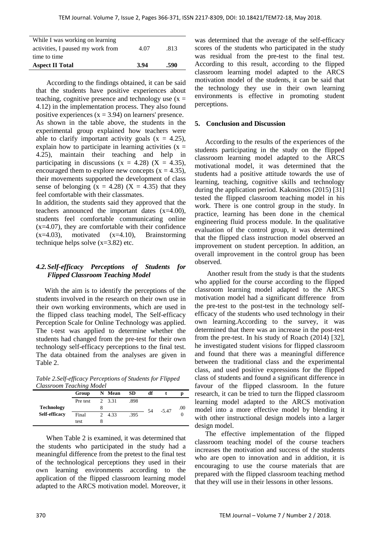| While I was working on learning   |      |      |
|-----------------------------------|------|------|
| activities, I paused my work from | 4.07 | .813 |
| time to time                      |      |      |
| <b>Aspect II Total</b>            | 3.94 | .590 |

 According to the findings obtained, it can be said that the students have positive experiences about teaching, cognitive presence and technology use  $(x =$ 4.12) in the implementation process. They also found positive experiences  $(x = 3.94)$  on learners' presence. As shown in the table above, the students in the experimental group explained how teachers were able to clarify important activity goals  $(x = 4.25)$ , explain how to participate in learning activities  $(x =$ 4.25), maintain their teaching and help in participating in discussions  $(x = 4.28)$   $(X = 4.35)$ , encouraged them to explore new concepts  $(x = 4.35)$ , their movements supported the development of class sense of belonging  $(x = 4.28)$   $(X = 4.35)$  that they feel comfortable with their classmates.

In addition, the students said they approved that the teachers announced the important dates (x=4.00), students feel comfortable communicating online  $(x=4.07)$ , they are comfortable with their confidence  $(x=4.03)$ , motivated  $(x=4.10)$ , Brainstorming technique helps solve (x=3.82) etc.

### *4.2.Self-efficacy Perceptions of Students for Flipped Classroom Teaching Model*

 With the aim is to identify the perceptions of the students involved in the research on their own use in their own working environments, which are used in the flipped class teaching model, The Self-efficacy Perception Scale for Online Technology was applied. The t-test was applied to determine whether the students had changed from the pre-test for their own technology self-efficacy perceptions to the final test. The data obtained from the analyses are given in Table 2.

*Table 2.Self-efficacy Perceptions of Students for Flipped Classroom Teaching Model*

|               | Group    |               | N Mean | <b>SD</b> | df |         |     |
|---------------|----------|---------------|--------|-----------|----|---------|-----|
|               | Pre test |               | 2 3.31 | .898      |    |         |     |
| Technology    |          | 8             |        |           | 54 | $-5.47$ | .00 |
| Self-efficacy | Final    | $\mathcal{D}$ | 4.33   | .395      |    |         | 0   |
|               | test     |               |        |           |    |         |     |

 When Table 2 is examined, it was determined that the students who participated in the study had a meaningful difference from the pretest to the final test of the technological perceptions they used in their own learning environments according to the application of the flipped classroom learning model adapted to the ARCS motivation model. Moreover, it

was determined that the average of the self-efficacy scores of the students who participated in the study was residual from the pre-test to the final test. According to this result, according to the flipped classroom learning model adapted to the ARCS motivation model of the students, it can be said that the technology they use in their own learning environments is effective in promoting student perceptions.

#### **5. Conclusion and Discussion**

 According to the results of the experiences of the students participating in the study on the flipped classroom learning model adapted to the ARCS motivational model, it was determined that the students had a positive attitude towards the use of learning, teaching, cognitive skills and technology during the application period. Kakosimos (2015) [31] tested the flipped classroom teaching model in his work. There is one control group in the study. In practice, learning has been done in the chemical engineering fluid process module. In the qualitative evaluation of the control group, it was determined that the flipped class instruction model observed an improvement on student perception. In addition, an overall improvement in the control group has been observed.

 Another result from the study is that the students who applied for the course according to the flipped classroom learning model adapted to the ARCS motivation model had a significant difference from the pre-test to the post-test in the technology selfefficacy of the students who used technology in their own learning.According to the survey, it was determined that there was an increase in the post-test from the pre-test. In his study of Roach (2014) [32], he investigated student visions for flipped classroom and found that there was a meaningful difference between the traditional class and the experimental class, and used positive expressions for the flipped class of students and found a significant difference in favour of the flipped classroom. In the future research, it can be tried to turn the flipped classroom learning model adapted to the ARCS motivation model into a more effective model by blending it with other instructional design models into a larger design model.

 The effective implementation of the flipped classroom teaching model of the course teachers increases the motivation and success of the students who are open to innovation and in addition, it is encouraging to use the course materials that are prepared with the flipped classroom teaching method that they will use in their lessons in other lessons.